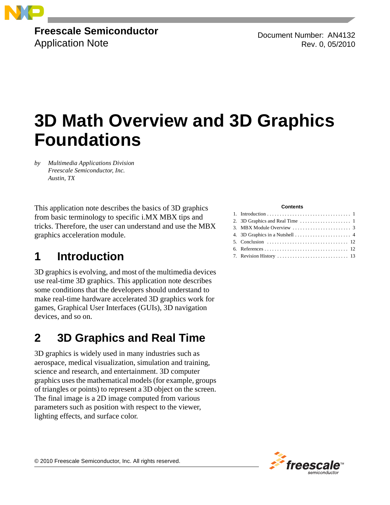

**Freescale Semiconductor** Application Note

Document Number: AN4132 Rev. 0, 05/2010

# **3D Math Overview and 3D Graphics Foundations**

*by Multimedia Applications Division Freescale Semiconductor, Inc. Austin, TX*

This application note describes the basics of 3D graphics from basic terminology to specific i.MX MBX tips and tricks. Therefore, the user can understand and use the MBX graphics acceleration module.

## <span id="page-0-0"></span>**1 Introduction**

3D graphics is evolving, and most of the multimedia devices use real-time 3D graphics. This application note describes some conditions that the developers should understand to make real-time hardware accelerated 3D graphics work for games, Graphical User Interfaces (GUIs), 3D navigation devices, and so on.

## <span id="page-0-1"></span>**2 3D Graphics and Real Time**

3D graphics is widely used in many industries such as aerospace, medical visualization, simulation and training, science and research, and entertainment. 3D computer graphics uses the mathematical models (for example, groups of triangles or points) to represent a 3D object on the screen. The final image is a 2D image computed from various parameters such as position with respect to the viewer, lighting effects, and surface color.

#### **Contents**



© 2010 Freescale Semiconductor, Inc. All rights reserved.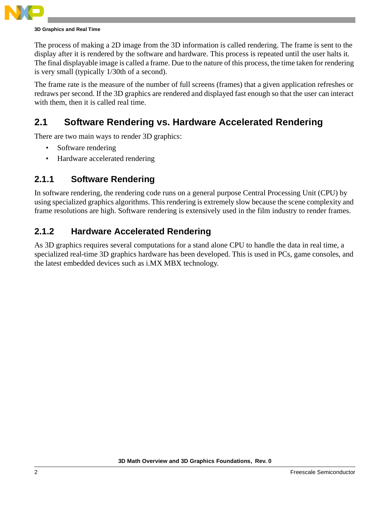

#### **3D Graphics and Real Time**

The process of making a 2D image from the 3D information is called rendering. The frame is sent to the display after it is rendered by the software and hardware. This process is repeated until the user halts it. The final displayable image is called a frame. Due to the nature of this process, the time taken for rendering is very small (typically 1/30th of a second).

The frame rate is the measure of the number of full screens (frames) that a given application refreshes or redraws per second. If the 3D graphics are rendered and displayed fast enough so that the user can interact with them, then it is called real time.

### **2.1 Software Rendering vs. Hardware Accelerated Rendering**

There are two main ways to render 3D graphics:

- Software rendering
- Hardware accelerated rendering

### **2.1.1 Software Rendering**

In software rendering, the rendering code runs on a general purpose Central Processing Unit (CPU) by using specialized graphics algorithms. This rendering is extremely slow because the scene complexity and frame resolutions are high. Software rendering is extensively used in the film industry to render frames.

### **2.1.2 Hardware Accelerated Rendering**

As 3D graphics requires several computations for a stand alone CPU to handle the data in real time, a specialized real-time 3D graphics hardware has been developed. This is used in PCs, game consoles, and the latest embedded devices such as i.MX MBX technology.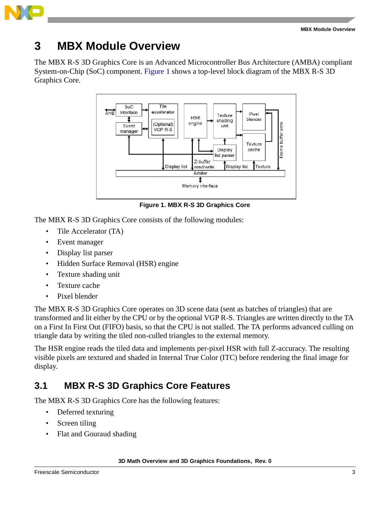



## <span id="page-2-0"></span>**3 MBX Module Overview**

The MBX R-S 3D Graphics Core is an Advanced Microcontroller Bus Architecture (AMBA) compliant System-on-Chip (SoC) component. [Figure 1](#page-2-1) shows a top-level block diagram of the MBX R-S 3D Graphics Core.



**Figure 1. MBX R-S 3D Graphics Core**

<span id="page-2-1"></span>The MBX R-S 3D Graphics Core consists of the following modules:

- Tile Accelerator (TA)
- Event manager
- Display list parser
- Hidden Surface Removal (HSR) engine
- Texture shading unit
- Texture cache
- Pixel blender

The MBX R-S 3D Graphics Core operates on 3D scene data (sent as batches of triangles) that are transformed and lit either by the CPU or by the optional VGP R-S. Triangles are written directly to the TA on a First In First Out (FIFO) basis, so that the CPU is not stalled. The TA performs advanced culling on triangle data by writing the tiled non-culled triangles to the external memory.

The HSR engine reads the tiled data and implements per-pixel HSR with full Z-accuracy. The resulting visible pixels are textured and shaded in Internal True Color (ITC) before rendering the final image for display.

### **3.1 MBX R-S 3D Graphics Core Features**

The MBX R-S 3D Graphics Core has the following features:

- Deferred texturing
- Screen tiling
- Flat and Gouraud shading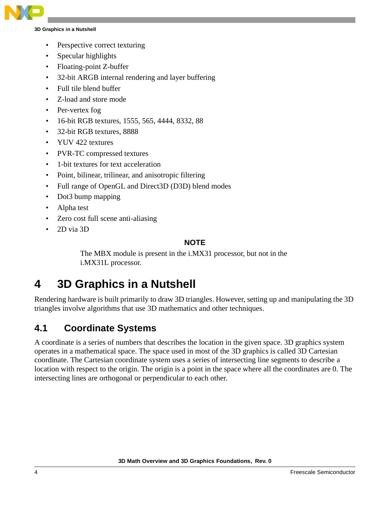

- Perspective correct texturing
- Specular highlights
- Floating-point Z-buffer
- 32-bit ARGB internal rendering and layer buffering
- Full tile blend buffer
- Z-load and store mode
- Per-vertex fog
- 16-bit RGB textures, 1555, 565, 4444, 8332, 88
- 32-bit RGB textures, 8888
- YUV 422 textures
- PVR-TC compressed textures
- 1-bit textures for text acceleration
- Point, bilinear, trilinear, and anisotropic filtering
- Full range of OpenGL and Direct3D (D3D) blend modes
- Dot3 bump mapping
- Alpha test
- Zero cost full scene anti-aliasing
- 2D via 3D

### **NOTE**

The MBX module is present in the i.MX31 processor, but not in the i.MX31L processor.

## <span id="page-3-0"></span>**4 3D Graphics in a Nutshell**

Rendering hardware is built primarily to draw 3D triangles. However, setting up and manipulating the 3D triangles involve algorithms that use 3D mathematics and other techniques.

### **4.1 Coordinate Systems**

A coordinate is a series of numbers that describes the location in the given space. 3D graphics system operates in a mathematical space. The space used in most of the 3D graphics is called 3D Cartesian coordinate. The Cartesian coordinate system uses a series of intersecting line segments to describe a location with respect to the origin. The origin is a point in the space where all the coordinates are 0. The intersecting lines are orthogonal or perpendicular to each other.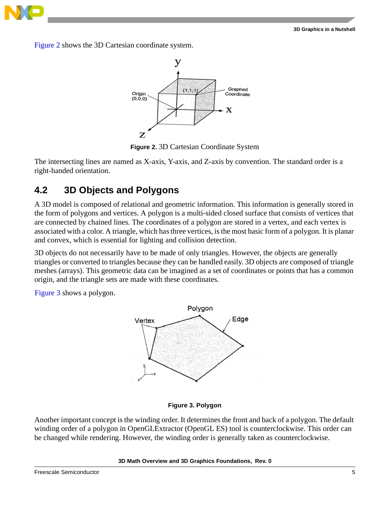

[Figure 2](#page-4-0) shows the 3D Cartesian coordinate system.



**Figure 2.** 3D Cartesian Coordinate System

<span id="page-4-0"></span>The intersecting lines are named as X-axis, Y-axis, and Z-axis by convention. The standard order is a right-handed orientation.

### **4.2 3D Objects and Polygons**

A 3D model is composed of relational and geometric information. This information is generally stored in the form of polygons and vertices. A polygon is a multi-sided closed surface that consists of vertices that are connected by chained lines. The coordinates of a polygon are stored in a vertex, and each vertex is associated with a color. A triangle, which has three vertices, is the most basic form of a polygon. It is planar and convex, which is essential for lighting and collision detection.

3D objects do not necessarily have to be made of only triangles. However, the objects are generally triangles or converted to triangles because they can be handled easily. 3D objects are composed of triangle meshes (arrays). This geometric data can be imagined as a set of coordinates or points that has a common origin, and the triangle sets are made with these coordinates.

[\Figure 3](#page-4-1) shows a polygon.



**Figure 3. Polygon**

<span id="page-4-1"></span>Another important concept is the winding order. It determines the front and back of a polygon. The default winding order of a polygon in OpenGLExtractor (OpenGL ES) tool is counterclockwise. This order can be changed while rendering. However, the winding order is generally taken as counterclockwise.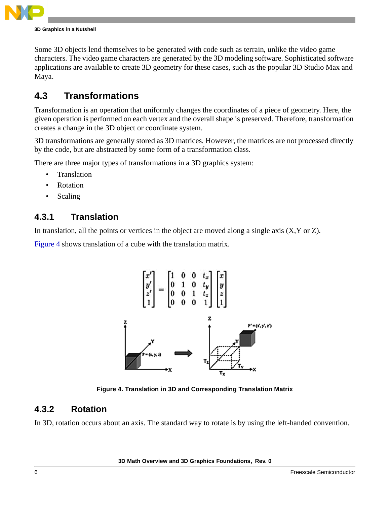

Some 3D objects lend themselves to be generated with code such as terrain, unlike the video game characters. The video game characters are generated by the 3D modeling software. Sophisticated software applications are available to create 3D geometry for these cases, such as the popular 3D Studio Max and Maya.

### **4.3 Transformations**

Transformation is an operation that uniformly changes the coordinates of a piece of geometry. Here, the given operation is performed on each vertex and the overall shape is preserved. Therefore, transformation creates a change in the 3D object or coordinate system.

3D transformations are generally stored as 3D matrices. However, the matrices are not processed directly by the code, but are abstracted by some form of a transformation class.

There are three major types of transformations in a 3D graphics system:

- **Translation**
- Rotation
- **Scaling**

### **4.3.1 Translation**

In translation, all the points or vertices in the object are moved along a single axis  $(X, Y \text{ or } Z)$ .

[Figure 4](#page-5-0) shows translation of a cube with the translation matrix.



**Figure 4. Translation in 3D and Corresponding Translation Matrix**

### <span id="page-5-0"></span>**4.3.2 Rotation**

In 3D, rotation occurs about an axis. The standard way to rotate is by using the left-handed convention.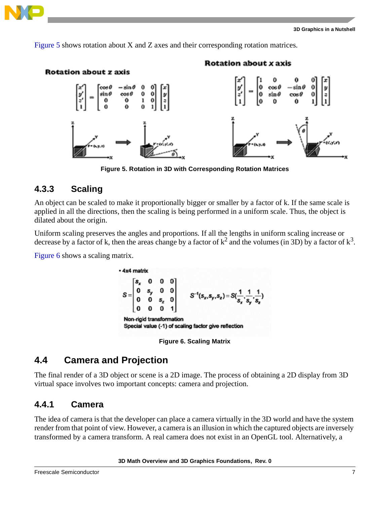

[Figure 5](#page-6-0) shows rotation about X and Z axes and their corresponding rotation matrices.



**Figure 5. Rotation in 3D with Corresponding Rotation Matrices**

### <span id="page-6-0"></span>**4.3.3 Scaling**

An object can be scaled to make it proportionally bigger or smaller by a factor of k. If the same scale is applied in all the directions, then the scaling is being performed in a uniform scale. Thus, the object is dilated about the origin.

Uniform scaling preserves the angles and proportions. If all the lengths in uniform scaling increase or decrease by a factor of k, then the areas change by a factor of  $k^2$  and the volumes (in 3D) by a factor of  $k^3$ .

[Figure 6](#page-6-1) shows a scaling matrix.





### <span id="page-6-1"></span>**4.4 Camera and Projection**

The final render of a 3D object or scene is a 2D image. The process of obtaining a 2D display from 3D virtual space involves two important concepts: camera and projection.

### **4.4.1 Camera**

The idea of camera is that the developer can place a camera virtually in the 3D world and have the system render from that point of view. However, a camera is an illusion in which the captured objects are inversely transformed by a camera transform. A real camera does not exist in an OpenGL tool. Alternatively, a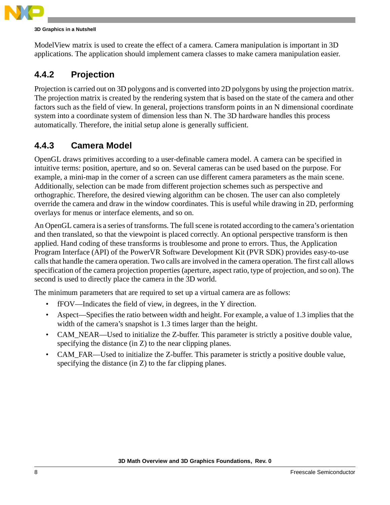

ModelView matrix is used to create the effect of a camera. Camera manipulation is important in 3D applications. The application should implement camera classes to make camera manipulation easier.

### **4.4.2 Projection**

Projection is carried out on 3D polygons and is converted into 2D polygons by using the projection matrix. The projection matrix is created by the rendering system that is based on the state of the camera and other factors such as the field of view. In general, projections transform points in an N dimensional coordinate system into a coordinate system of dimension less than N. The 3D hardware handles this process automatically. Therefore, the initial setup alone is generally sufficient.

### **4.4.3 Camera Model**

OpenGL draws primitives according to a user-definable camera model. A camera can be specified in intuitive terms: position, aperture, and so on. Several cameras can be used based on the purpose. For example, a mini-map in the corner of a screen can use different camera parameters as the main scene. Additionally, selection can be made from different projection schemes such as perspective and orthographic. Therefore, the desired viewing algorithm can be chosen. The user can also completely override the camera and draw in the window coordinates. This is useful while drawing in 2D, performing overlays for menus or interface elements, and so on.

An OpenGL camera is a series of transforms. The full scene is rotated according to the camera's orientation and then translated, so that the viewpoint is placed correctly. An optional perspective transform is then applied. Hand coding of these transforms is troublesome and prone to errors. Thus, the Application Program Interface (API) of the PowerVR Software Development Kit (PVR SDK) provides easy-to-use calls that handle the camera operation. Two calls are involved in the camera operation. The first call allows specification of the camera projection properties (aperture, aspect ratio, type of projection, and so on). The second is used to directly place the camera in the 3D world.

The minimum parameters that are required to set up a virtual camera are as follows:

- fFOV—Indicates the field of view, in degrees, in the Y direction.
- Aspect—Specifies the ratio between width and height. For example, a value of 1.3 implies that the width of the camera's snapshot is 1.3 times larger than the height.
- CAM\_NEAR—Used to initialize the Z-buffer. This parameter is strictly a positive double value, specifying the distance (in Z) to the near clipping planes.
- CAM\_FAR—Used to initialize the Z-buffer. This parameter is strictly a positive double value, specifying the distance (in Z) to the far clipping planes.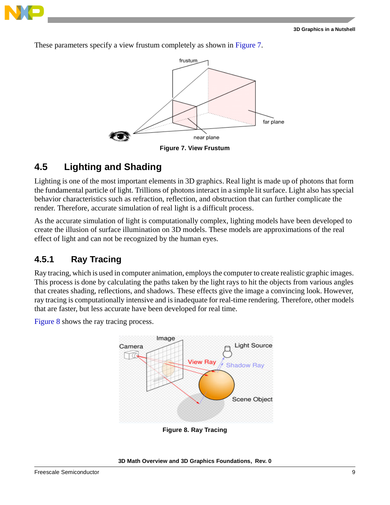

These parameters specify a view frustum completely as shown in [Figure 7](#page-8-0).



**Figure 7. View Frustum**

### <span id="page-8-0"></span>**4.5 Lighting and Shading**

Lighting is one of the most important elements in 3D graphics. Real light is made up of photons that form the fundamental particle of light. Trillions of photons interact in a simple lit surface. Light also has special behavior characteristics such as refraction, reflection, and obstruction that can further complicate the render. Therefore, accurate simulation of real light is a difficult process.

As the accurate simulation of light is computationally complex, lighting models have been developed to create the illusion of surface illumination on 3D models. These models are approximations of the real effect of light and can not be recognized by the human eyes.

### **4.5.1 Ray Tracing**

Ray tracing, which is used in computer animation, employs the computer to create realistic graphic images. This process is done by calculating the paths taken by the light rays to hit the objects from various angles that creates shading, reflections, and shadows. These effects give the image a convincing look. However, ray tracing is computationally intensive and is inadequate for real-time rendering. Therefore, other models that are faster, but less accurate have been developed for real time.

<span id="page-8-1"></span>[Figure 8](#page-8-1) shows the ray tracing process.



**Figure 8. Ray Tracing**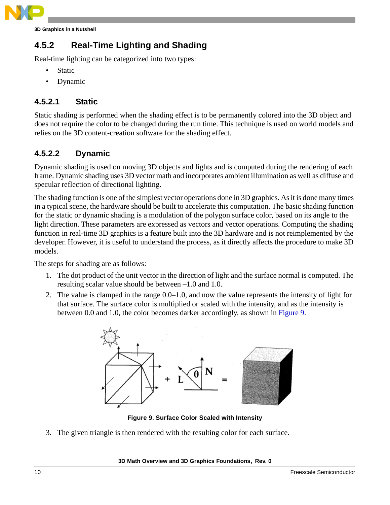

### **4.5.2 Real-Time Lighting and Shading**

Real-time lighting can be categorized into two types:

- **Static**
- Dynamic

### **4.5.2.1 Static**

Static shading is performed when the shading effect is to be permanently colored into the 3D object and does not require the color to be changed during the run time. This technique is used on world models and relies on the 3D content-creation software for the shading effect.

### **4.5.2.2 Dynamic**

Dynamic shading is used on moving 3D objects and lights and is computed during the rendering of each frame. Dynamic shading uses 3D vector math and incorporates ambient illumination as well as diffuse and specular reflection of directional lighting.

The shading function is one of the simplest vector operations done in 3D graphics. As it is done many times in a typical scene, the hardware should be built to accelerate this computation. The basic shading function for the static or dynamic shading is a modulation of the polygon surface color, based on its angle to the light direction. These parameters are expressed as vectors and vector operations. Computing the shading function in real-time 3D graphics is a feature built into the 3D hardware and is not reimplemented by the developer. However, it is useful to understand the process, as it directly affects the procedure to make 3D models.

The steps for shading are as follows:

- 1. The dot product of the unit vector in the direction of light and the surface normal is computed. The resulting scalar value should be between –1.0 and 1.0.
- 2. The value is clamped in the range 0.0–1.0, and now the value represents the intensity of light for that surface. The surface color is multiplied or scaled with the intensity, and as the intensity is between 0.0 and 1.0, the color becomes darker accordingly, as shown in [Figure 9.](#page-9-0)



**Figure 9. Surface Color Scaled with Intensity**

<span id="page-9-0"></span>3. The given triangle is then rendered with the resulting color for each surface.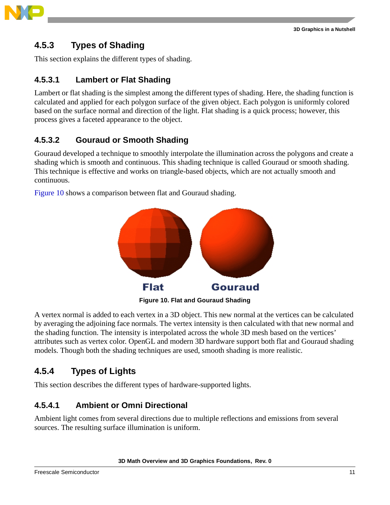

### **4.5.3 Types of Shading**

This section explains the different types of shading.

### **4.5.3.1 Lambert or Flat Shading**

Lambert or flat shading is the simplest among the different types of shading. Here, the shading function is calculated and applied for each polygon surface of the given object. Each polygon is uniformly colored based on the surface normal and direction of the light. Flat shading is a quick process; however, this process gives a faceted appearance to the object.

### **4.5.3.2 Gouraud or Smooth Shading**

Gouraud developed a technique to smoothly interpolate the illumination across the polygons and create a shading which is smooth and continuous. This shading technique is called Gouraud or smooth shading. This technique is effective and works on triangle-based objects, which are not actually smooth and continuous.



[Figure 10](#page-10-0) shows a comparison between flat and Gouraud shading.

<span id="page-10-0"></span>A vertex normal is added to each vertex in a 3D object. This new normal at the vertices can be calculated by averaging the adjoining face normals. The vertex intensity is then calculated with that new normal and the shading function. The intensity is interpolated across the whole 3D mesh based on the vertices' attributes such as vertex color. OpenGL and modern 3D hardware support both flat and Gouraud shading models. Though both the shading techniques are used, smooth shading is more realistic.

### **4.5.4 Types of Lights**

This section describes the different types of hardware-supported lights.

### **4.5.4.1 Ambient or Omni Directional**

Ambient light comes from several directions due to multiple reflections and emissions from several sources. The resulting surface illumination is uniform.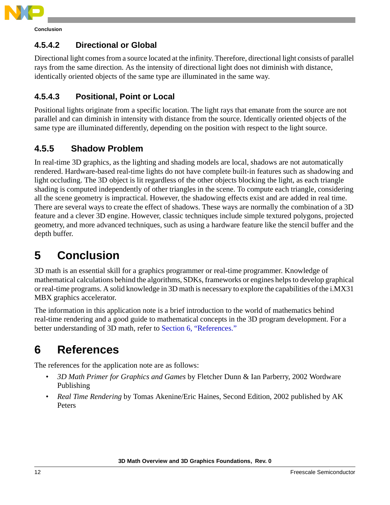

**Conclusion**

### **4.5.4.2 Directional or Global**

Directional light comes from a source located at the infinity. Therefore, directional light consists of parallel rays from the same direction. As the intensity of directional light does not diminish with distance, identically oriented objects of the same type are illuminated in the same way.

### **4.5.4.3 Positional, Point or Local**

Positional lights originate from a specific location. The light rays that emanate from the source are not parallel and can diminish in intensity with distance from the source. Identically oriented objects of the same type are illuminated differently, depending on the position with respect to the light source.

### **4.5.5 Shadow Problem**

In real-time 3D graphics, as the lighting and shading models are local, shadows are not automatically rendered. Hardware-based real-time lights do not have complete built-in features such as shadowing and light occluding. The 3D object is lit regardless of the other objects blocking the light, as each triangle shading is computed independently of other triangles in the scene. To compute each triangle, considering all the scene geometry is impractical. However, the shadowing effects exist and are added in real time. There are several ways to create the effect of shadows. These ways are normally the combination of a 3D feature and a clever 3D engine. However, classic techniques include simple textured polygons, projected geometry, and more advanced techniques, such as using a hardware feature like the stencil buffer and the depth buffer.

## <span id="page-11-0"></span>**5 Conclusion**

3D math is an essential skill for a graphics programmer or real-time programmer. Knowledge of mathematical calculations behind the algorithms, SDKs, frameworks or engines helps to develop graphical or real-time programs. A solid knowledge in 3D math is necessary to explore the capabilities of the i.MX31 MBX graphics accelerator.

The information in this application note is a brief introduction to the world of mathematics behind real-time rendering and a good guide to mathematical concepts in the 3D program development. For a better understanding of 3D math, refer to [Section 6, "References](#page-11-1)."

## <span id="page-11-1"></span>**6 References**

The references for the application note are as follows:

- *3D Math Primer for Graphics and Games* by Fletcher Dunn & Ian Parberry, 2002 Wordware Publishing
- *Real Time Rendering* by Tomas Akenine/Eric Haines, Second Edition, 2002 published by AK **Peters**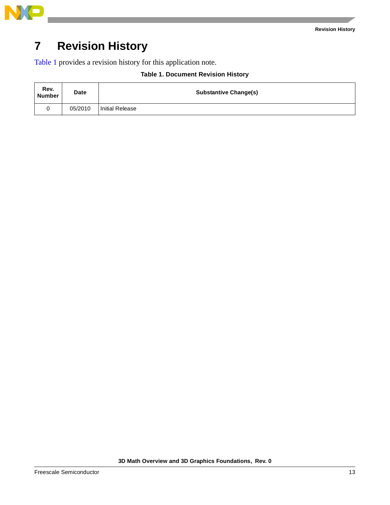

## <span id="page-12-0"></span>**7 Revision History**

<span id="page-12-1"></span>[Table 1](#page-12-1) provides a revision history for this application note.

| <b>Table 1. Document Revision History</b> |  |
|-------------------------------------------|--|
|-------------------------------------------|--|

| Rev.<br>Number | Date    | <b>Substantive Change(s)</b> |
|----------------|---------|------------------------------|
|                | 05/2010 | Initial Release              |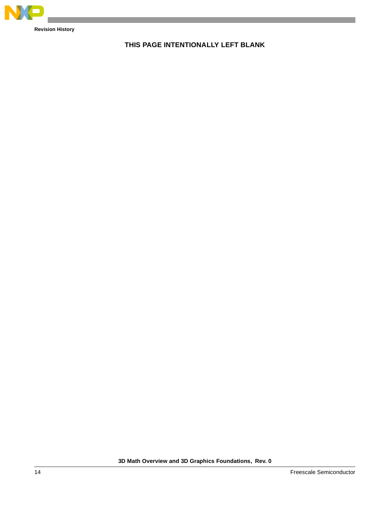

**Revision History**

#### **THIS PAGE INTENTIONALLY LEFT BLANK**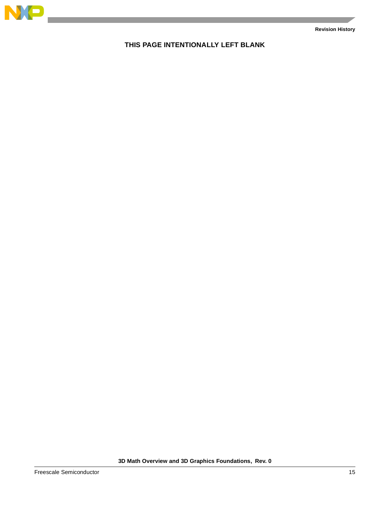

#### **THIS PAGE INTENTIONALLY LEFT BLANK**